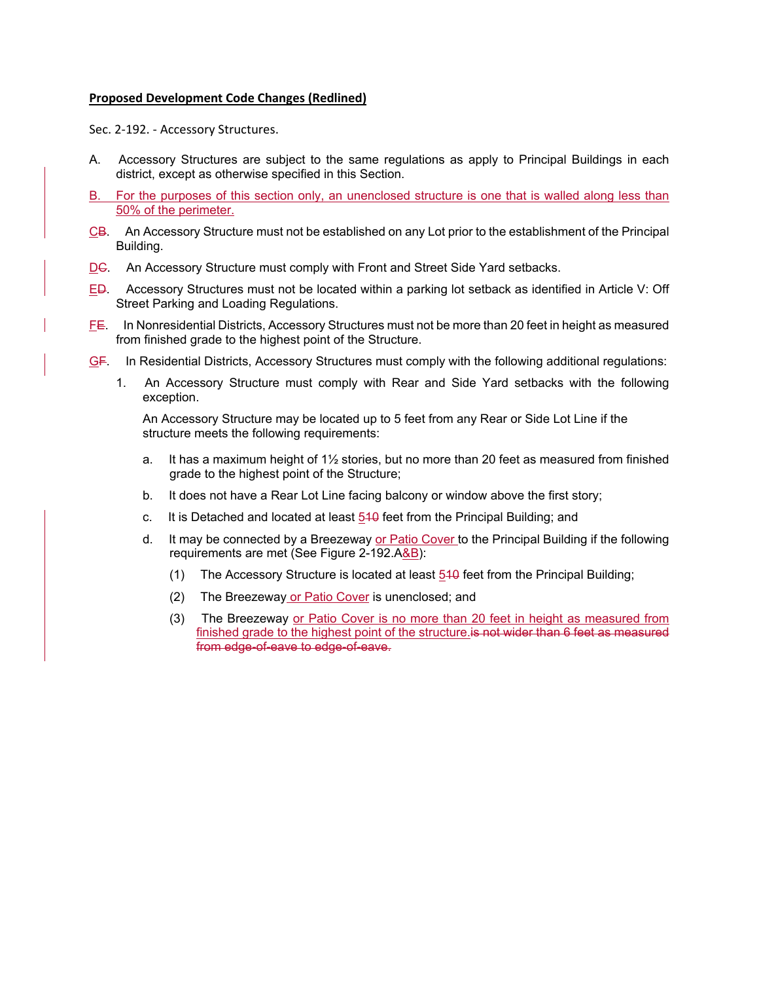## **Proposed Development Code Changes (Redlined)**

Sec. 2-192. - Accessory Structures.

- A. Accessory Structures are subject to the same regulations as apply to Principal Buildings in each district, except as otherwise specified in this Section.
- For the purposes of this section only, an unenclosed structure is one that is walled along less than 50% of the perimeter.
- CB. An Accessory Structure must not be established on any Lot prior to the establishment of the Principal Building.
- DC. An Accessory Structure must comply with Front and Street Side Yard setbacks.
- ED. Accessory Structures must not be located within a parking lot setback as identified in Article V: Off Street Parking and Loading Regulations.
- FE. In Nonresidential Districts, Accessory Structures must not be more than 20 feet in height as measured from finished grade to the highest point of the Structure.
- GF. In Residential Districts, Accessory Structures must comply with the following additional regulations:
	- 1. An Accessory Structure must comply with Rear and Side Yard setbacks with the following exception.

An Accessory Structure may be located up to 5 feet from any Rear or Side Lot Line if the structure meets the following requirements:

- a. It has a maximum height of  $1\frac{1}{2}$  stories, but no more than 20 feet as measured from finished grade to the highest point of the Structure;
- b. It does not have a Rear Lot Line facing balcony or window above the first story;
- c. It is Detached and located at least  $540$  feet from the Principal Building; and
- d. It may be connected by a Breezeway or Patio Cover to the Principal Building if the following requirements are met (See Figure 2-192.A&B):
	- (1) The Accessory Structure is located at least 510 feet from the Principal Building;
	- (2) The Breezeway or Patio Cover is unenclosed; and
	- (3) The Breezeway or Patio Cover is no more than 20 feet in height as measured from finished grade to the highest point of the structure. is not wider than 6 feet as measured from edge-of-eave to edge-of-eave.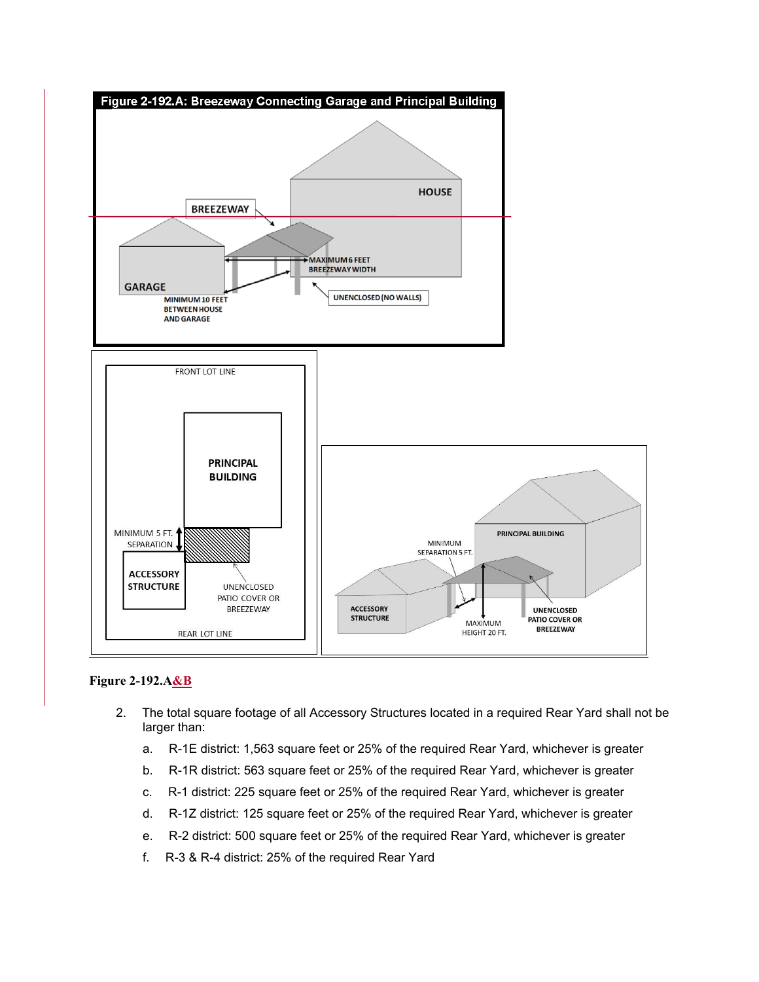

## **Figure 2-192.A&B**

- 2. The total square footage of all Accessory Structures located in a required Rear Yard shall not be larger than:
	- a. R-1E district: 1,563 square feet or 25% of the required Rear Yard, whichever is greater
	- b. R-1R district: 563 square feet or 25% of the required Rear Yard, whichever is greater
	- c. R-1 district: 225 square feet or 25% of the required Rear Yard, whichever is greater
	- d. R-1Z district: 125 square feet or 25% of the required Rear Yard, whichever is greater
	- e. R-2 district: 500 square feet or 25% of the required Rear Yard, whichever is greater
	- f. R-3 & R-4 district: 25% of the required Rear Yard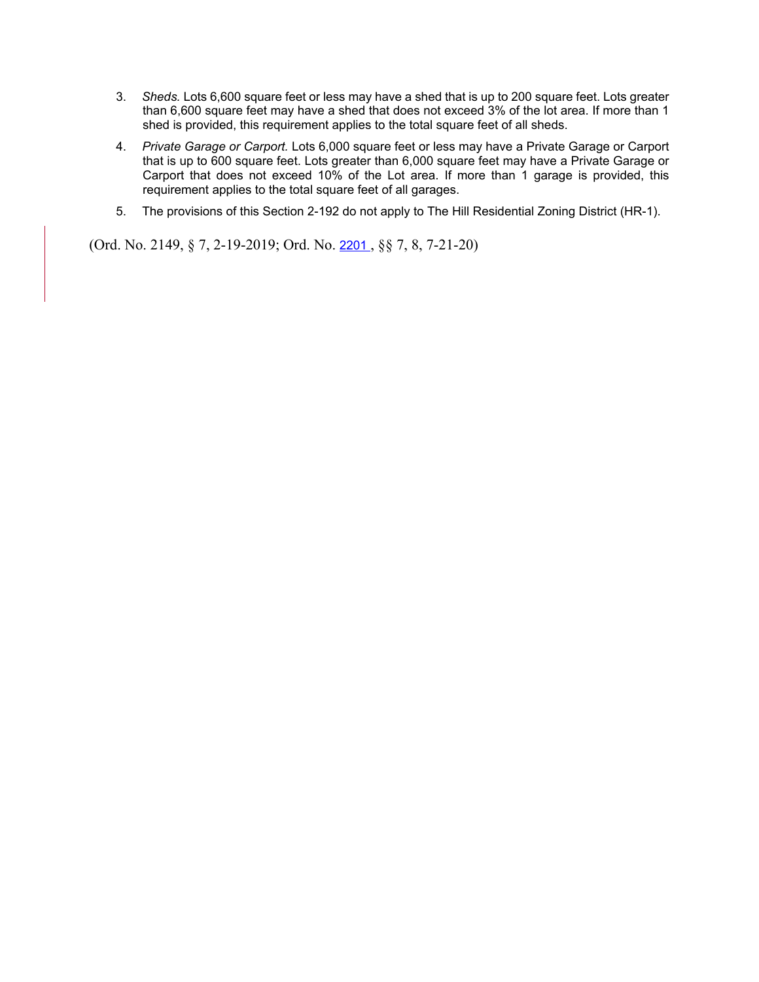- 3. *Sheds.* Lots 6,600 square feet or less may have a shed that is up to 200 square feet. Lots greater than 6,600 square feet may have a shed that does not exceed 3% of the lot area. If more than 1 shed is provided, this requirement applies to the total square feet of all sheds.
- 4. *Private Garage or Carport.* Lots 6,000 square feet or less may have a Private Garage or Carport that is up to 600 square feet. Lots greater than 6,000 square feet may have a Private Garage or Carport that does not exceed 10% of the Lot area. If more than 1 garage is provided, this requirement applies to the total square feet of all garages.
- 5. The provisions of this Section 2-192 do not apply to The Hill Residential Zoning District (HR-1).

(Ord. No. 2149, § 7, 2-19-2019; Ord. No. [2201](http://newords.municode.com/readordinance.aspx?ordinanceid=1059251&datasource=ordbank) , §§ 7, 8, 7-21-20)